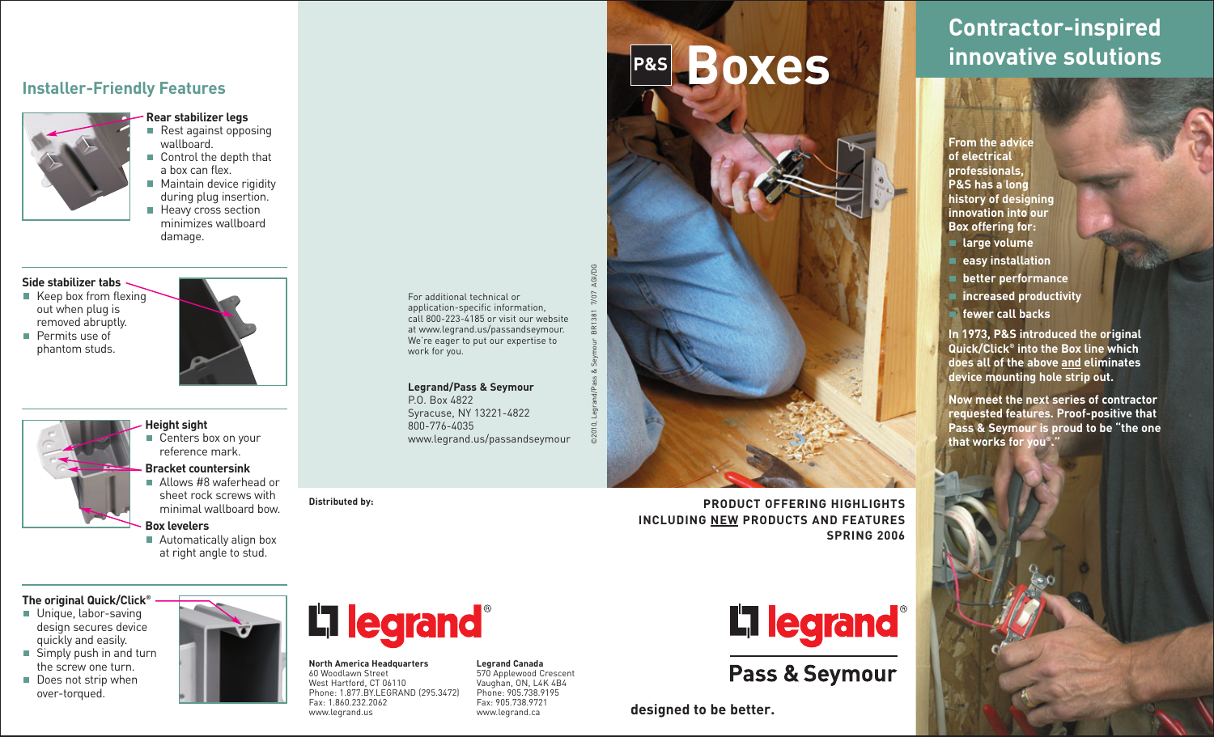#### **Installer-Friendly Features**



- **Rear stabilizer legs** Rest against opposing wallboard.
- Control the depth that a box can flex.
- **Maintain device rigidity** during plug insertion. **Heavy cross section** minimizes wallboard

damage.

#### **Side stabilizer tabs**

- $\blacksquare$  Keep box from flexing out when plug is removed abruptly. **Permits use of**
- phantom studs.
- **Height sight**  Centers box on your reference mark.
	- **Bracket countersink**
	- Allows #8 waferhead or sheet rock screws with minimal wallboard bow.

#### **Box levelers**

■ Automatically align box at right angle to stud.

#### **The original Quick/Click®**

- **Unique, labor-saving** design secures device quickly and easily. Simply push in and turn
- the screw one turn. Does not strip when
- over-torqued.



#### **North America Headquarters** 60 Woodlawn Street West Hartford, CT 06110 Phone: 1.877.BY.LEGRAND (295.3472) Fax: 1.860.232.2062 www.legrand.us

**Distributed by:**

For additional technical or application-specific information, call 800-223-4185 or visit our website at www.legrand.us/passandseymour. We're eager to put our expertise to work for you.

#### **Legrand/Pass & Seymour**

P.O. Box 4822 Syracuse, NY 13221-4822 800-776-4035 www.legrand.us/passandseymour

> **Legrand Canada** 570 Applewood Crescent Vaughan, ON, L4K 4B4 Phone: 905.738.9195 Fax: 905.738.9721 www.legrand.ca

**P&S Boxes** AGI/DG ©2010, Legrand/Pass & Seymour BR1381 7/07 AGI/DG  $\overline{3R}$ 

> **PRODUCT OFFERING HIGHLIGHTS INCLUDING NEW PRODUCTS AND FEATURES SPRING 2006**



**Pass & Seymour** 

**designed to be better.**

# **Contractor-inspired innovative solutions**

**From the advice of electrical professionals, P&S has a long history of designing innovation into our Box offering for:**

- **large volume**
- **easy installation**
- **better performance**
- **increased productivity**
- **fewer call backs**

**In 1973, P&S introduced the original Quick/Click® into the Box line which does all of the above and eliminates device mounting hole strip out.**

**Now meet the next series of contractor requested features. Proof-positive that Pass & Seymour is proud to be "the one that works for you®."**